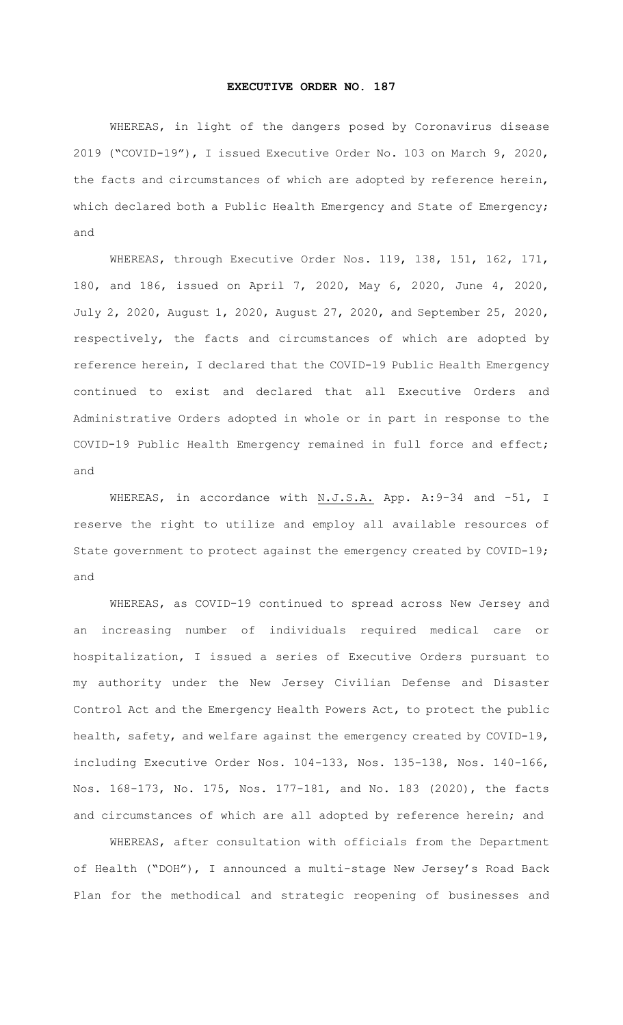## **EXECUTIVE ORDER NO. 187**

WHEREAS, in light of the dangers posed by Coronavirus disease 2019 ("COVID-19"), I issued Executive Order No. 103 on March 9, 2020, the facts and circumstances of which are adopted by reference herein, which declared both a Public Health Emergency and State of Emergency; and

WHEREAS, through Executive Order Nos. 119, 138, 151, 162, 171, 180, and 186, issued on April 7, 2020, May 6, 2020, June 4, 2020, July 2, 2020, August 1, 2020, August 27, 2020, and September 25, 2020, respectively, the facts and circumstances of which are adopted by reference herein, I declared that the COVID-19 Public Health Emergency continued to exist and declared that all Executive Orders and Administrative Orders adopted in whole or in part in response to the COVID-19 Public Health Emergency remained in full force and effect; and

WHEREAS, in accordance with N.J.S.A. App. A:9-34 and -51, I reserve the right to utilize and employ all available resources of State government to protect against the emergency created by COVID-19; and

WHEREAS, as COVID-19 continued to spread across New Jersey and an increasing number of individuals required medical care or hospitalization, I issued a series of Executive Orders pursuant to my authority under the New Jersey Civilian Defense and Disaster Control Act and the Emergency Health Powers Act, to protect the public health, safety, and welfare against the emergency created by COVID-19, including Executive Order Nos. 104-133, Nos. 135-138, Nos. 140-166, Nos. 168-173, No. 175, Nos. 177-181, and No. 183 (2020), the facts and circumstances of which are all adopted by reference herein; and

WHEREAS, after consultation with officials from the Department of Health ("DOH"), I announced a multi-stage New Jersey's Road Back Plan for the methodical and strategic reopening of businesses and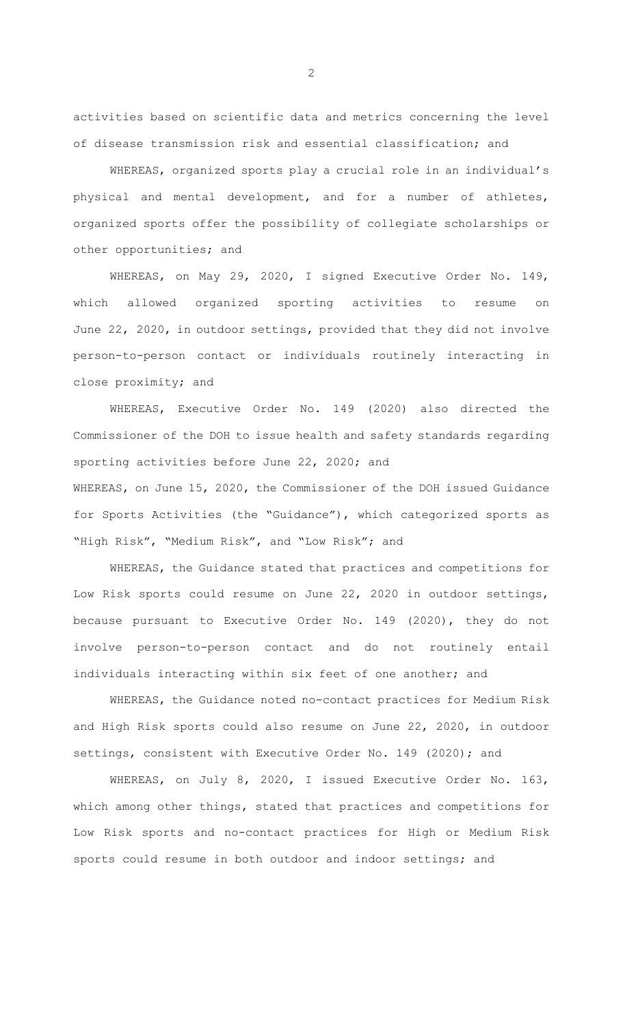activities based on scientific data and metrics concerning the level of disease transmission risk and essential classification; and

WHEREAS, organized sports play a crucial role in an individual's physical and mental development, and for a number of athletes, organized sports offer the possibility of collegiate scholarships or other opportunities; and

WHEREAS, on May 29, 2020, I signed Executive Order No. 149, which allowed organized sporting activities to resume on June 22, 2020, in outdoor settings, provided that they did not involve person-to-person contact or individuals routinely interacting in close proximity; and

WHEREAS, Executive Order No. 149 (2020) also directed the Commissioner of the DOH to issue health and safety standards regarding sporting activities before June 22, 2020; and WHEREAS, on June 15, 2020, the Commissioner of the DOH issued Guidance for Sports Activities (the "Guidance"), which categorized sports as "High Risk", "Medium Risk", and "Low Risk"; and

WHEREAS, the Guidance stated that practices and competitions for Low Risk sports could resume on June 22, 2020 in outdoor settings, because pursuant to Executive Order No. 149 (2020), they do not involve person-to-person contact and do not routinely entail individuals interacting within six feet of one another; and

WHEREAS, the Guidance noted no-contact practices for Medium Risk and High Risk sports could also resume on June 22, 2020, in outdoor settings, consistent with Executive Order No. 149 (2020); and

WHEREAS, on July 8, 2020, I issued Executive Order No. 163, which among other things, stated that practices and competitions for Low Risk sports and no-contact practices for High or Medium Risk sports could resume in both outdoor and indoor settings; and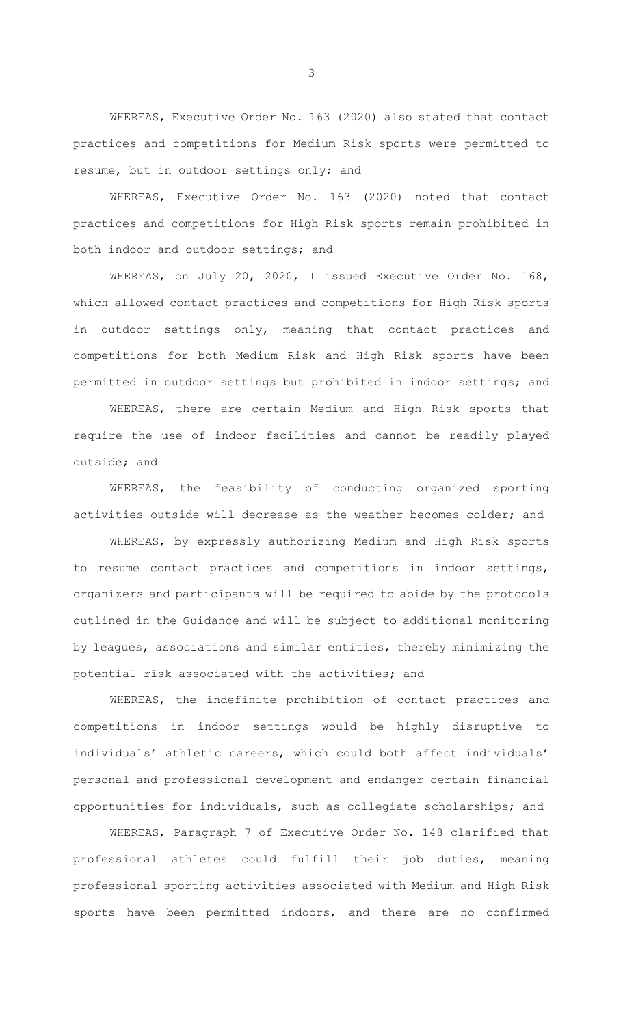WHEREAS, Executive Order No. 163 (2020) also stated that contact practices and competitions for Medium Risk sports were permitted to resume, but in outdoor settings only; and

WHEREAS, Executive Order No. 163 (2020) noted that contact practices and competitions for High Risk sports remain prohibited in both indoor and outdoor settings; and

WHEREAS, on July 20, 2020, I issued Executive Order No. 168, which allowed contact practices and competitions for High Risk sports in outdoor settings only, meaning that contact practices and competitions for both Medium Risk and High Risk sports have been permitted in outdoor settings but prohibited in indoor settings; and

WHEREAS, there are certain Medium and High Risk sports that require the use of indoor facilities and cannot be readily played outside; and

WHEREAS, the feasibility of conducting organized sporting activities outside will decrease as the weather becomes colder; and

WHEREAS, by expressly authorizing Medium and High Risk sports to resume contact practices and competitions in indoor settings, organizers and participants will be required to abide by the protocols outlined in the Guidance and will be subject to additional monitoring by leagues, associations and similar entities, thereby minimizing the potential risk associated with the activities; and

WHEREAS, the indefinite prohibition of contact practices and competitions in indoor settings would be highly disruptive to individuals' athletic careers, which could both affect individuals' personal and professional development and endanger certain financial opportunities for individuals, such as collegiate scholarships; and

WHEREAS, Paragraph 7 of Executive Order No. 148 clarified that professional athletes could fulfill their job duties, meaning professional sporting activities associated with Medium and High Risk sports have been permitted indoors, and there are no confirmed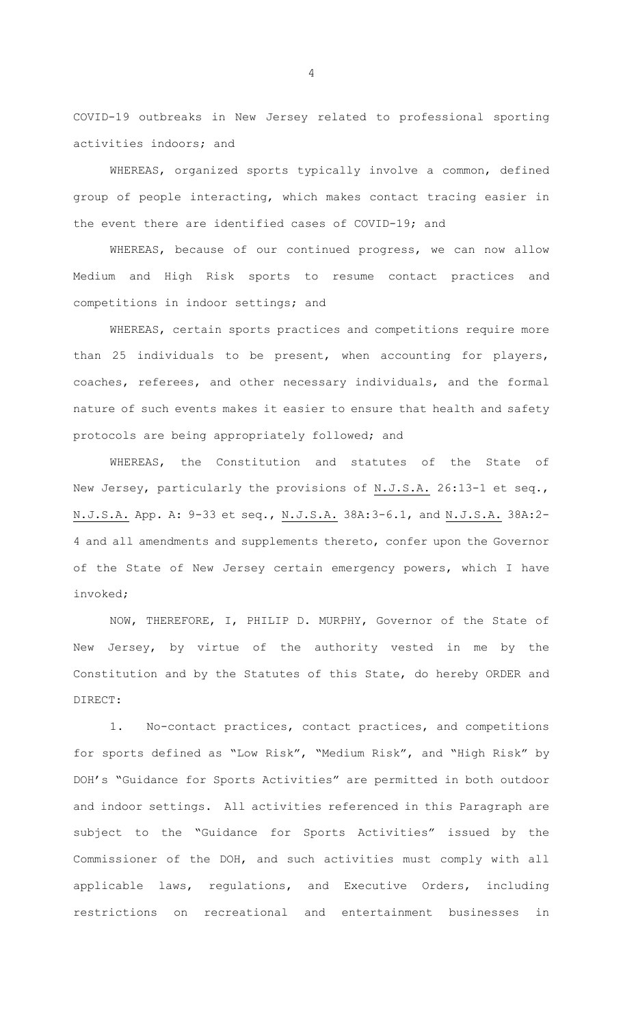COVID-19 outbreaks in New Jersey related to professional sporting activities indoors; and

WHEREAS, organized sports typically involve a common, defined group of people interacting, which makes contact tracing easier in the event there are identified cases of COVID-19; and

WHEREAS, because of our continued progress, we can now allow Medium and High Risk sports to resume contact practices and competitions in indoor settings; and

WHEREAS, certain sports practices and competitions require more than 25 individuals to be present, when accounting for players, coaches, referees, and other necessary individuals, and the formal nature of such events makes it easier to ensure that health and safety protocols are being appropriately followed; and

WHEREAS, the Constitution and statutes of the State of New Jersey, particularly the provisions of N.J.S.A. 26:13-1 et seq., N.J.S.A. App. A: 9-33 et seq., N.J.S.A. 38A:3-6.1, and N.J.S.A. 38A:2- 4 and all amendments and supplements thereto, confer upon the Governor of the State of New Jersey certain emergency powers, which I have invoked;

NOW, THEREFORE, I, PHILIP D. MURPHY, Governor of the State of New Jersey, by virtue of the authority vested in me by the Constitution and by the Statutes of this State, do hereby ORDER and DIRECT:

1. No-contact practices, contact practices, and competitions for sports defined as "Low Risk", "Medium Risk", and "High Risk" by DOH's "Guidance for Sports Activities" are permitted in both outdoor and indoor settings. All activities referenced in this Paragraph are subject to the "Guidance for Sports Activities" issued by the Commissioner of the DOH, and such activities must comply with all applicable laws, regulations, and Executive Orders, including restrictions on recreational and entertainment businesses in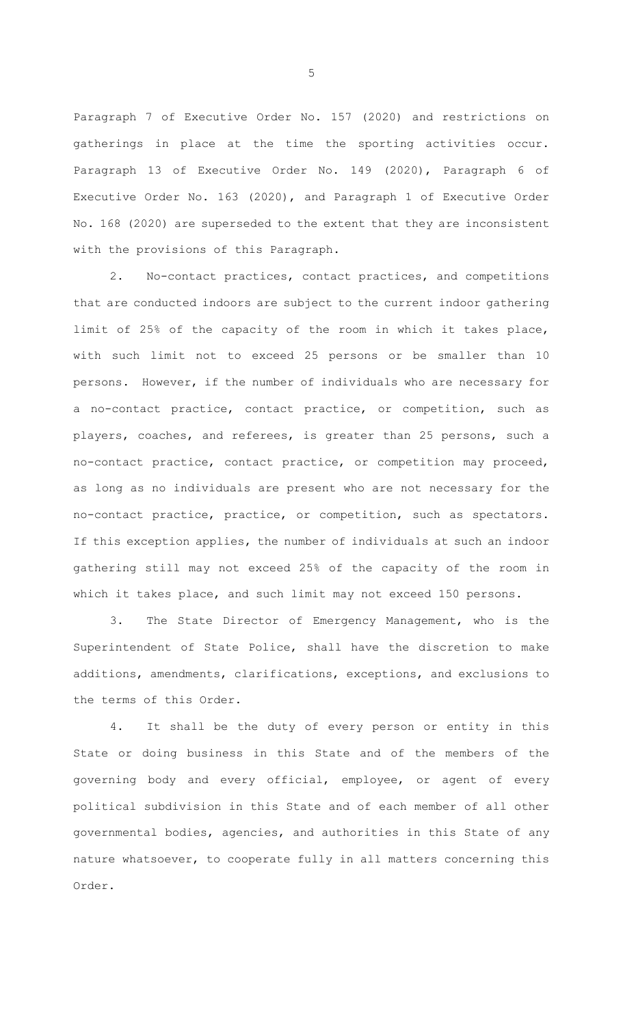Paragraph 7 of Executive Order No. 157 (2020) and restrictions on gatherings in place at the time the sporting activities occur. Paragraph 13 of Executive Order No. 149 (2020), Paragraph 6 of Executive Order No. 163 (2020), and Paragraph 1 of Executive Order No. 168 (2020) are superseded to the extent that they are inconsistent with the provisions of this Paragraph.

2. No-contact practices, contact practices, and competitions that are conducted indoors are subject to the current indoor gathering limit of 25% of the capacity of the room in which it takes place, with such limit not to exceed 25 persons or be smaller than 10 persons. However, if the number of individuals who are necessary for a no-contact practice, contact practice, or competition, such as players, coaches, and referees, is greater than 25 persons, such a no-contact practice, contact practice, or competition may proceed, as long as no individuals are present who are not necessary for the no-contact practice, practice, or competition, such as spectators. If this exception applies, the number of individuals at such an indoor gathering still may not exceed 25% of the capacity of the room in which it takes place, and such limit may not exceed 150 persons.

3. The State Director of Emergency Management, who is the Superintendent of State Police, shall have the discretion to make additions, amendments, clarifications, exceptions, and exclusions to the terms of this Order.

4. It shall be the duty of every person or entity in this State or doing business in this State and of the members of the governing body and every official, employee, or agent of every political subdivision in this State and of each member of all other governmental bodies, agencies, and authorities in this State of any nature whatsoever, to cooperate fully in all matters concerning this Order.